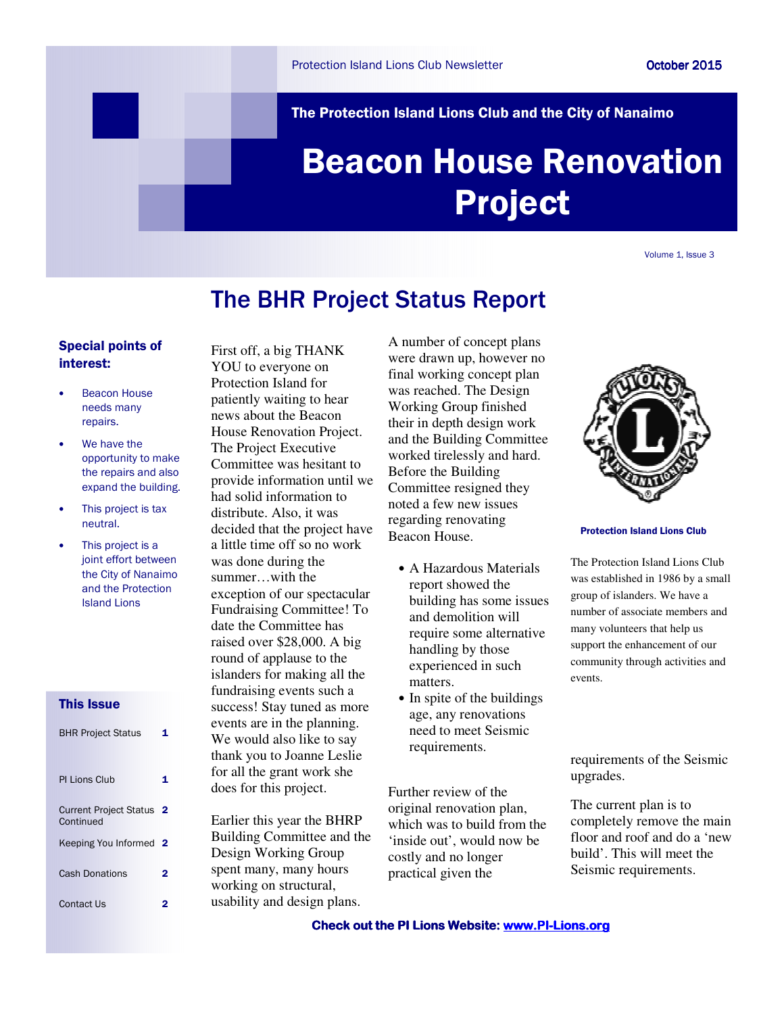The Protection Island Lions Club and the City of Nanaimo

# Beacon House Renovation Project

Volume 1, Issue 3

# The BHR Project Status Report

# Special points of interest:

- Beacon House needs many repairs.
- We have the opportunity to make the repairs and also expand the building.
- This project is tax neutral.
- This project is a joint effort between the City of Nanaimo and the Protection Island Lions

# This Issue

| <b>BHR Project Status</b>                  |   |
|--------------------------------------------|---|
| <b>PI Lions Club</b>                       |   |
| <b>Current Project Status</b><br>Continued | 2 |
| Keeping You Informed                       | 2 |
| <b>Cash Donations</b>                      | 2 |
| Contact Us                                 |   |

First off, a big THANK YOU to everyone on Protection Island for patiently waiting to hear news about the Beacon House Renovation Project. The Project Executive Committee was hesitant to provide information until we had solid information to distribute. Also, it was decided that the project have a little time off so no work was done during the summer…with the exception of our spectacular Fundraising Committee! To date the Committee has raised over \$28,000. A big round of applause to the islanders for making all the fundraising events such a success! Stay tuned as more events are in the planning. We would also like to say thank you to Joanne Leslie for all the grant work she does for this project.

Earlier this year the BHRP Building Committee and the Design Working Group spent many, many hours working on structural, usability and design plans.

A number of concept plans were drawn up, however no final working concept plan was reached. The Design Working Group finished their in depth design work and the Building Committee worked tirelessly and hard. Before the Building Committee resigned they noted a few new issues regarding renovating Beacon House.

- A Hazardous Materials report showed the building has some issues and demolition will require some alternative handling by those experienced in such matters.
- In spite of the buildings age, any renovations need to meet Seismic requirements.

Further review of the original renovation plan, which was to build from the 'inside out', would now be costly and no longer practical given the



Protection Island Lions Club

The Protection Island Lions Club was established in 1986 by a small group of islanders. We have a number of associate members and many volunteers that help us support the enhancement of our community through activities and events.

requirements of the Seismic upgrades.

The current plan is to completely remove the main floor and roof and do a 'new build'. This will meet the Seismic requirements.

Check out the PI Lions Website: www.PI-Lions.org